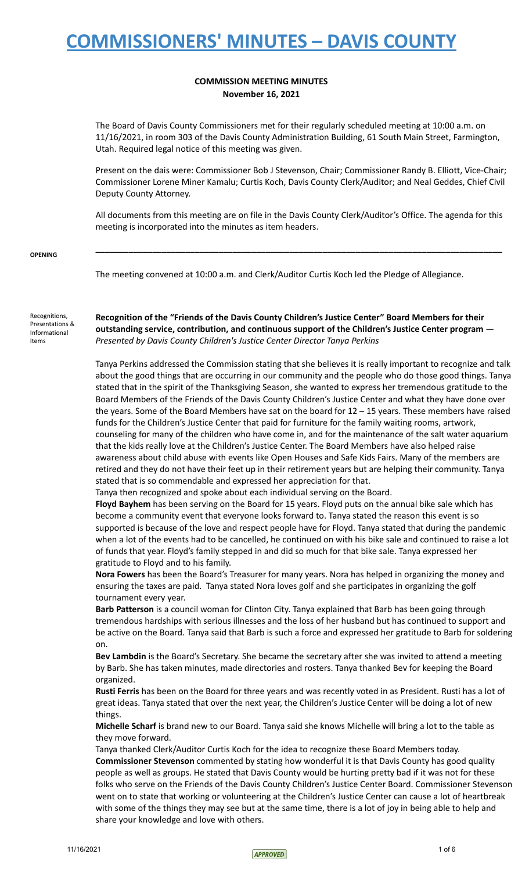### **COMMISSION MEETING MINUTES November 16, 2021**

The Board of Davis County Commissioners met for their regularly scheduled meeting at 10:00 a.m. on 11/16/2021, in room 303 of the Davis County Administration Building, 61 South Main Street, Farmington, Utah. Required legal notice of this meeting was given.

Present on the dais were: Commissioner Bob J Stevenson, Chair; Commissioner Randy B. Elliott, Vice-Chair; Commissioner Lorene Miner Kamalu; Curtis Koch, Davis County Clerk/Auditor; and Neal Geddes, Chief Civil Deputy County Attorney.

All documents from this meeting are on file in the Davis County Clerk/Auditor's Office. The agenda for this meeting is incorporated into the minutes as item headers.

**\_\_\_\_\_\_\_\_\_\_\_\_\_\_\_\_\_\_\_\_\_\_\_\_\_\_\_\_\_\_\_\_\_\_\_\_\_\_\_\_\_\_\_\_\_\_\_\_\_\_\_\_\_\_\_\_\_\_\_\_\_\_\_\_\_\_\_\_\_\_\_\_\_\_\_\_\_\_\_\_\_\_\_\_\_\_**

**OPENING**

The meeting convened at 10:00 a.m. and Clerk/Auditor Curtis Koch led the Pledge of Allegiance.

Recognitions, Presentations & Informational Items

**Recognition of the "Friends of the Davis County Children's Justice Center" Board Members for their outstanding service, contribution, and continuous support of the Children's Justice Center program** — *Presented by Davis County Children's Justice Center Director Tanya Perkins*

Tanya Perkins addressed the Commission stating that she believes it is really important to recognize and talk about the good things that are occurring in our community and the people who do those good things. Tanya stated that in the spirit of the Thanksgiving Season, she wanted to express her tremendous gratitude to the Board Members of the Friends of the Davis County Children's Justice Center and what they have done over the years. Some of the Board Members have sat on the board for 12 – 15 years. These members have raised funds for the Children's Justice Center that paid for furniture for the family waiting rooms, artwork, counseling for many of the children who have come in, and for the maintenance of the salt water aquarium that the kids really love at the Children's Justice Center. The Board Members have also helped raise awareness about child abuse with events like Open Houses and Safe Kids Fairs. Many of the members are retired and they do not have their feet up in their retirement years but are helping their community. Tanya stated that is so commendable and expressed her appreciation for that.

Tanya then recognized and spoke about each individual serving on the Board.

**Floyd Bayhem** has been serving on the Board for 15 years. Floyd puts on the annual bike sale which has become a community event that everyone looks forward to. Tanya stated the reason this event is so supported is because of the love and respect people have for Floyd. Tanya stated that during the pandemic when a lot of the events had to be cancelled, he continued on with his bike sale and continued to raise a lot of funds that year. Floyd's family stepped in and did so much for that bike sale. Tanya expressed her gratitude to Floyd and to his family.

**Nora Fowers** has been the Board's Treasurer for many years. Nora has helped in organizing the money and ensuring the taxes are paid. Tanya stated Nora loves golf and she participates in organizing the golf tournament every year.

**Barb Patterson** is a council woman for Clinton City. Tanya explained that Barb has been going through tremendous hardships with serious illnesses and the loss of her husband but has continued to support and be active on the Board. Tanya said that Barb is such a force and expressed her gratitude to Barb for soldering on.

**Bev Lambdin** is the Board's Secretary. She became the secretary after she was invited to attend a meeting by Barb. She has taken minutes, made directories and rosters. Tanya thanked Bev for keeping the Board organized.

**Rusti Ferris** has been on the Board for three years and was recently voted in as President. Rusti has a lot of great ideas. Tanya stated that over the next year, the Children's Justice Center will be doing a lot of new things.

**Michelle Scharf** is brand new to our Board. Tanya said she knows Michelle will bring a lot to the table as they move forward.

Tanya thanked Clerk/Auditor Curtis Koch for the idea to recognize these Board Members today. **Commissioner Stevenson** commented by stating how wonderful it is that Davis County has good quality people as well as groups. He stated that Davis County would be hurting pretty bad if it was not for these folks who serve on the Friends of the Davis County Children's Justice Center Board. Commissioner Stevenson went on to state that working or volunteering at the Children's Justice Center can cause a lot of heartbreak with some of the things they may see but at the same time, there is a lot of joy in being able to help and share your knowledge and love with others.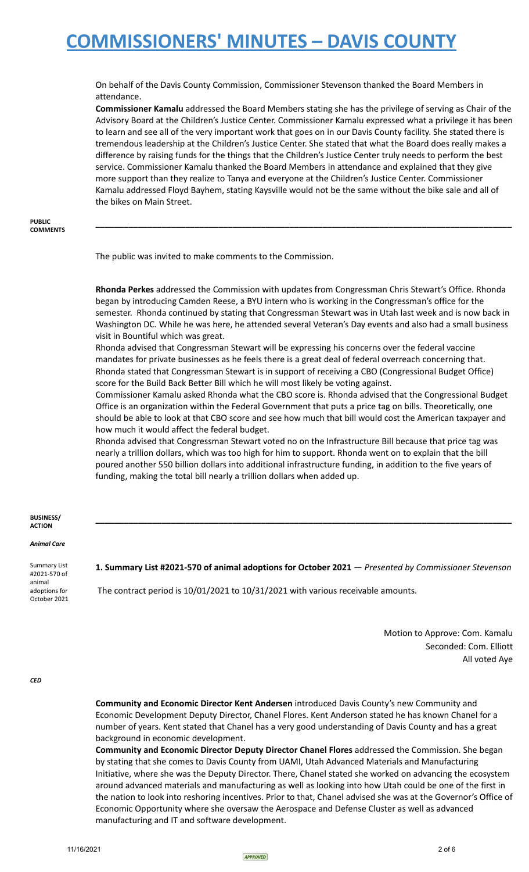On behalf of the Davis County Commission, Commissioner Stevenson thanked the Board Members in attendance.

**Commissioner Kamalu** addressed the Board Members stating she has the privilege of serving as Chair of the Advisory Board at the Children's Justice Center. Commissioner Kamalu expressed what a privilege it has been to learn and see all of the very important work that goes on in our Davis County facility. She stated there is tremendous leadership at the Children's Justice Center. She stated that what the Board does really makes a difference by raising funds for the things that the Children's Justice Center truly needs to perform the best service. Commissioner Kamalu thanked the Board Members in attendance and explained that they give more support than they realize to Tanya and everyone at the Children's Justice Center. Commissioner Kamalu addressed Floyd Bayhem, stating Kaysville would not be the same without the bike sale and all of the bikes on Main Street.

**\_\_\_\_\_\_\_\_\_\_\_\_\_\_\_\_\_\_\_\_\_\_\_\_\_\_\_\_\_\_\_\_\_\_\_\_\_\_\_\_\_\_\_\_\_\_\_\_\_\_\_\_\_\_\_\_\_\_\_\_\_\_\_\_\_\_\_\_\_\_\_\_\_\_\_\_\_\_\_\_\_\_\_\_\_\_\_\_**

#### **PUBLIC COMMENTS**

The public was invited to make comments to the Commission.

**Rhonda Perkes** addressed the Commission with updates from Congressman Chris Stewart's Office. Rhonda began by introducing Camden Reese, a BYU intern who is working in the Congressman's office for the semester. Rhonda continued by stating that Congressman Stewart was in Utah last week and is now back in Washington DC. While he was here, he attended several Veteran's Day events and also had a small business visit in Bountiful which was great.

Rhonda advised that Congressman Stewart will be expressing his concerns over the federal vaccine mandates for private businesses as he feels there is a great deal of federal overreach concerning that. Rhonda stated that Congressman Stewart is in support of receiving a CBO (Congressional Budget Office) score for the Build Back Better Bill which he will most likely be voting against.

Commissioner Kamalu asked Rhonda what the CBO score is. Rhonda advised that the Congressional Budget Office is an organization within the Federal Government that puts a price tag on bills. Theoretically, one should be able to look at that CBO score and see how much that bill would cost the American taxpayer and how much it would affect the federal budget.

Rhonda advised that Congressman Stewart voted no on the Infrastructure Bill because that price tag was nearly a trillion dollars, which was too high for him to support. Rhonda went on to explain that the bill poured another 550 billion dollars into additional infrastructure funding, in addition to the five years of funding, making the total bill nearly a trillion dollars when added up.

#### **BUSINESS/ ACTION**

*Animal Care*

Summary List #2021-570 of animal adoptions for October 2021 **1. Summary List #2021-570 of animal adoptions for October 2021** — *Presented by Commissioner Stevenson*

**\_\_\_\_\_\_\_\_\_\_\_\_\_\_\_\_\_\_\_\_\_\_\_\_\_\_\_\_\_\_\_\_\_\_\_\_\_\_\_\_\_\_\_\_\_\_\_\_\_\_\_\_\_\_\_\_\_\_\_\_\_\_\_\_\_\_\_\_\_\_\_\_\_\_\_\_\_\_\_\_\_\_\_\_\_\_\_\_**

The contract period is 10/01/2021 to 10/31/2021 with various receivable amounts.

Motion to Approve: Com. Kamalu Seconded: Com. Elliott All voted Aye

*CED*

**Community and Economic Director Kent Andersen** introduced Davis County's new Community and Economic Development Deputy Director, Chanel Flores. Kent Anderson stated he has known Chanel for a number of years. Kent stated that Chanel has a very good understanding of Davis County and has a great background in economic development.

**Community and Economic Director Deputy Director Chanel Flores** addressed the Commission. She began by stating that she comes to Davis County from UAMI, Utah Advanced Materials and Manufacturing Initiative, where she was the Deputy Director. There, Chanel stated she worked on advancing the ecosystem around advanced materials and manufacturing as well as looking into how Utah could be one of the first in the nation to look into reshoring incentives. Prior to that, Chanel advised she was at the Governor's Office of Economic Opportunity where she oversaw the Aerospace and Defense Cluster as well as advanced manufacturing and IT and software development.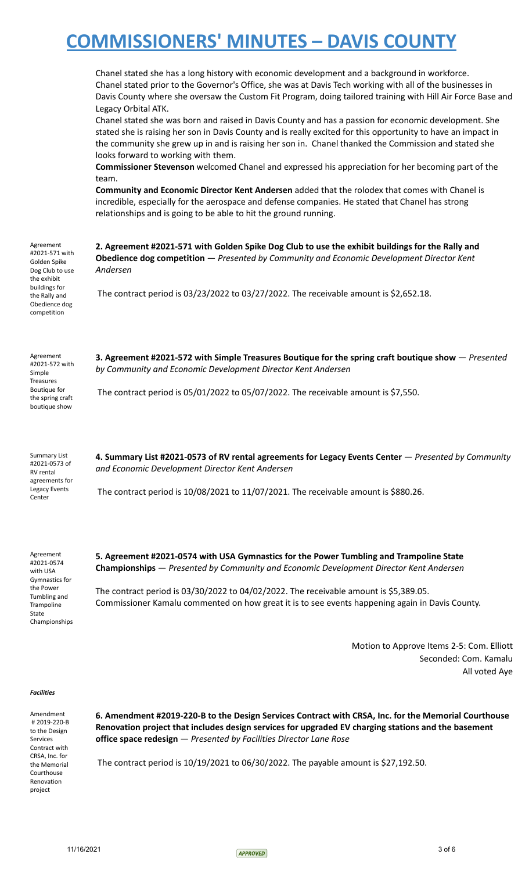|                                                                                                                                                 | Chanel stated she has a long history with economic development and a background in workforce.<br>Chanel stated prior to the Governor's Office, she was at Davis Tech working with all of the businesses in<br>Davis County where she oversaw the Custom Fit Program, doing tailored training with Hill Air Force Base and<br>Legacy Orbital ATK.<br>Chanel stated she was born and raised in Davis County and has a passion for economic development. She<br>stated she is raising her son in Davis County and is really excited for this opportunity to have an impact in<br>the community she grew up in and is raising her son in. Chanel thanked the Commission and stated she<br>looks forward to working with them.<br>Commissioner Stevenson welcomed Chanel and expressed his appreciation for her becoming part of the<br>team.<br>Community and Economic Director Kent Andersen added that the rolodex that comes with Chanel is<br>incredible, especially for the aerospace and defense companies. He stated that Chanel has strong<br>relationships and is going to be able to hit the ground running. |
|-------------------------------------------------------------------------------------------------------------------------------------------------|--------------------------------------------------------------------------------------------------------------------------------------------------------------------------------------------------------------------------------------------------------------------------------------------------------------------------------------------------------------------------------------------------------------------------------------------------------------------------------------------------------------------------------------------------------------------------------------------------------------------------------------------------------------------------------------------------------------------------------------------------------------------------------------------------------------------------------------------------------------------------------------------------------------------------------------------------------------------------------------------------------------------------------------------------------------------------------------------------------------------|
| Agreement<br>#2021-571 with<br>Golden Spike<br>Dog Club to use<br>the exhibit<br>buildings for<br>the Rally and<br>Obedience dog<br>competition | 2. Agreement #2021-571 with Golden Spike Dog Club to use the exhibit buildings for the Rally and<br><b>Obedience dog competition</b> - Presented by Community and Economic Development Director Kent<br>Andersen<br>The contract period is $03/23/2022$ to $03/27/2022$ . The receivable amount is \$2,652.18.                                                                                                                                                                                                                                                                                                                                                                                                                                                                                                                                                                                                                                                                                                                                                                                                     |
| Agreement<br>#2021-572 with<br>Simple<br><b>Treasures</b><br>Boutique for<br>the spring craft<br>boutique show                                  | 3. Agreement #2021-572 with Simple Treasures Boutique for the spring craft boutique show – Presented<br>by Community and Economic Development Director Kent Andersen<br>The contract period is 05/01/2022 to 05/07/2022. The receivable amount is \$7,550.                                                                                                                                                                                                                                                                                                                                                                                                                                                                                                                                                                                                                                                                                                                                                                                                                                                         |
| Summary List<br>#2021-0573 of<br>RV rental<br>agreements for<br>Legacy Events<br>Center                                                         | 4. Summary List #2021-0573 of RV rental agreements for Legacy Events Center - Presented by Community<br>and Economic Development Director Kent Andersen<br>The contract period is 10/08/2021 to 11/07/2021. The receivable amount is \$880.26.                                                                                                                                                                                                                                                                                                                                                                                                                                                                                                                                                                                                                                                                                                                                                                                                                                                                     |

Agreement #2021-0574 with USA Gymnastics for the Power Tumbling and Trampoline State Championships 
> **5. Agreement #2021-0574 with USA Gymnastics for the Power Tumbling and Trampoline State Championships** — *Presented by Community and Economic Development Director Kent Andersen*

The contract period is 03/30/2022 to 04/02/2022. The receivable amount is \$5,389.05. Commissioner Kamalu commented on how great it is to see events happening again in Davis County.

> Motion to Approve Items 2-5: Com. Elliott Seconded: Com. Kamalu All voted Aye

#### *Facilities*

Amendment # 2019-220-B to the Design Services Contract with CRSA, Inc. for the Memorial Courthouse Renovation project

**6. Amendment #2019-220-B to the Design Services Contract with CRSA, Inc. for the Memorial Courthouse Renovation project that includes design services for upgraded EV charging stations and the basement office space redesign** — *Presented by Facilities Director Lane Rose*

The contract period is 10/19/2021 to 06/30/2022. The payable amount is \$27,192.50.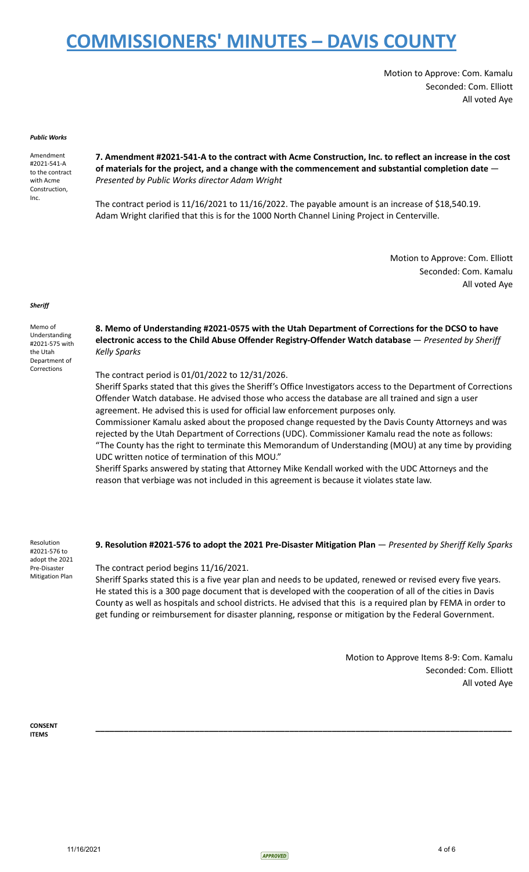Motion to Approve: Com. Kamalu Seconded: Com. Elliott All voted Aye

#### *Public Works*

Amendment #2021-541-A to the contract with Acme Construction, Inc.

**7. Amendment #2021-541-A to the contract with Acme Construction, Inc. to reflect an increase in the cost of materials for the project, and a change with the commencement and substantial completion date** — *Presented by Public Works director Adam Wright*

The contract period is 11/16/2021 to 11/16/2022. The payable amount is an increase of \$18,540.19. Adam Wright clarified that this is for the 1000 North Channel Lining Project in Centerville.

> Motion to Approve: Com. Elliott Seconded: Com. Kamalu All voted Aye

#### *Sheriff*

Memo of Understanding #2021-575 with the Utah Department of Corrections

**8. Memo of Understanding #2021-0575 with the Utah Department of Corrections for the DCSO to have electronic access to the Child Abuse Offender Registry-Offender Watch database** — *Presented by Sheriff Kelly Sparks*

The contract period is 01/01/2022 to 12/31/2026.

Sheriff Sparks stated that this gives the Sheriff's Office Investigators access to the Department of Corrections Offender Watch database. He advised those who access the database are all trained and sign a user agreement. He advised this is used for official law enforcement purposes only. Commissioner Kamalu asked about the proposed change requested by the Davis County Attorneys and was

rejected by the Utah Department of Corrections (UDC). Commissioner Kamalu read the note as follows: "The County has the right to terminate this Memorandum of Understanding (MOU) at any time by providing UDC written notice of termination of this MOU."

Sheriff Sparks answered by stating that Attorney Mike Kendall worked with the UDC Attorneys and the reason that verbiage was not included in this agreement is because it violates state law.

Resolution #2021-576 to adopt the 2021 Pre-Disaster Mitigation Plan

#### **9. Resolution #2021-576 to adopt the 2021 Pre-Disaster Mitigation Plan** — *Presented by Sheriff Kelly Sparks*

The contract period begins 11/16/2021.

Sheriff Sparks stated this is a five year plan and needs to be updated, renewed or revised every five years. He stated this is a 300 page document that is developed with the cooperation of all of the cities in Davis County as well as hospitals and school districts. He advised that this is a required plan by FEMA in order to get funding or reimbursement for disaster planning, response or mitigation by the Federal Government.

**\_\_\_\_\_\_\_\_\_\_\_\_\_\_\_\_\_\_\_\_\_\_\_\_\_\_\_\_\_\_\_\_\_\_\_\_\_\_\_\_\_\_\_\_\_\_\_\_\_\_\_\_\_\_\_\_\_\_\_\_\_\_\_\_\_\_\_\_\_\_\_\_\_\_\_\_\_\_\_\_\_\_\_\_\_\_\_\_**

Motion to Approve Items 8-9: Com. Kamalu Seconded: Com. Elliott All voted Aye

**CONSENT ITEMS**

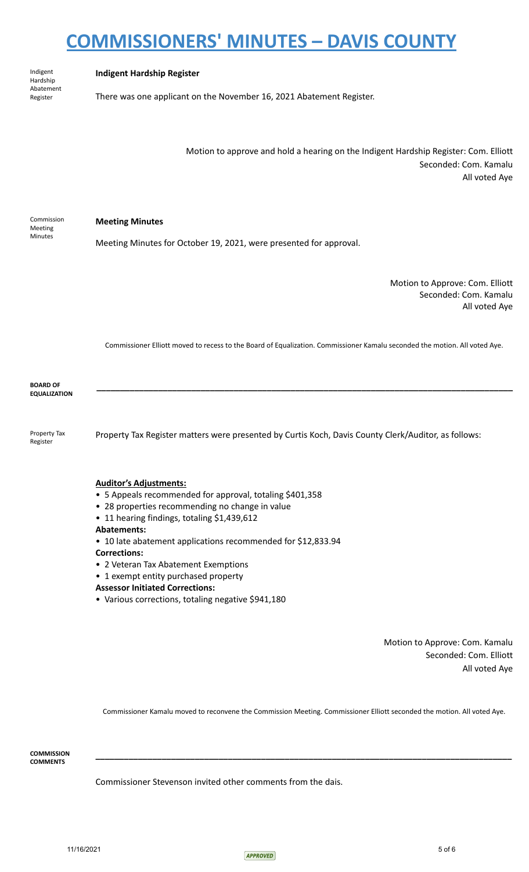| Indigent<br>Hardship<br>Abatement<br>Register | <b>Indigent Hardship Register</b><br>There was one applicant on the November 16, 2021 Abatement Register.                      |
|-----------------------------------------------|--------------------------------------------------------------------------------------------------------------------------------|
|                                               | Motion to approve and hold a hearing on the Indigent Hardship Register: Com. Elliott<br>Seconded: Com. Kamalu<br>All voted Aye |
| Commission<br>Meeting<br>Minutes              | <b>Meeting Minutes</b><br>Meeting Minutes for October 19, 2021, were presented for approval.                                   |
|                                               | Motion to Approve: Com. Elliott<br>Seconded: Com. Kamalu<br>All voted Aye                                                      |
|                                               | Commissioner Elliott moved to recess to the Board of Equalization. Commissioner Kamalu seconded the motion. All voted Aye.     |
| <b>BOARD OF</b><br><b>EQUALIZATION</b>        |                                                                                                                                |
| Property Tax<br>Register                      | Property Tax Register matters were presented by Curtis Koch, Davis County Clerk/Auditor, as follows:                           |
|                                               | <b>Auditor's Adjustments:</b><br>• 5 Appeals recommended for approval, totaling \$401,358                                      |

- 28 properties recommending no change in value
- 11 hearing findings, totaling \$1,439,612
- **Abatements:**
- 10 late abatement applications recommended for \$12,833.94

### **Corrections:**

- 2 Veteran Tax Abatement Exemptions
- 1 exempt entity purchased property
- **Assessor Initiated Corrections:**
- Various corrections, totaling negative \$941,180

Motion to Approve: Com. Kamalu Seconded: Com. Elliott All voted Aye

Commissioner Kamalu moved to reconvene the Commission Meeting. Commissioner Elliott seconded the motion. All voted Aye.

**\_\_\_\_\_\_\_\_\_\_\_\_\_\_\_\_\_\_\_\_\_\_\_\_\_\_\_\_\_\_\_\_\_\_\_\_\_\_\_\_\_\_\_\_\_\_\_\_\_\_\_\_\_\_\_\_\_\_\_\_\_\_\_\_\_\_\_\_\_\_\_\_\_\_\_\_\_\_\_\_\_\_\_\_\_\_\_\_**

**COMMISSION COMMENTS**

Commissioner Stevenson invited other comments from the dais.